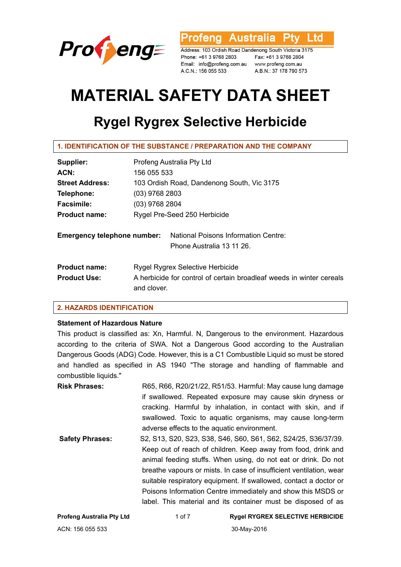

**Australia** l td ofena

Address: 103 Ordish Road Dandenong South Victoria 3175 Phone: +61 3 9768 2803 Email: info@profeng.com.au www.profeng.com.au A.C.N.: 156 055 533

Fax: +61 3 9768 2804 A.B.N.: 37 178 790 573

# **MATERIAL SAFETY DATA SHEET**

# **Rygel Rygrex Selective Herbicide**

| Supplier:                          | Profeng Australia Pty Ltd                                                           |
|------------------------------------|-------------------------------------------------------------------------------------|
| ACN:                               | 156 055 533                                                                         |
| <b>Street Address:</b>             | 103 Ordish Road, Dandenong South, Vic 3175                                          |
| Telephone:                         | $(03)$ 9768 2803                                                                    |
| <b>Facsimile:</b>                  | (03) 9768 2804                                                                      |
| <b>Product name:</b>               | Rygel Pre-Seed 250 Herbicide                                                        |
| <b>Emergency telephone number:</b> | <b>National Poisons Information Centre:</b><br>Phone Australia 13 11 26.            |
| <b>Product name:</b>               | Rygel Rygrex Selective Herbicide                                                    |
| <b>Product Use:</b>                | A herbicide for control of certain broadleaf weeds in winter cereals<br>and clover. |

# **2. HAZARDS IDENTIFICATION**

# **Statement of Hazardous Nature**

This product is classified as: Xn, Harmful. N, Dangerous to the environment. Hazardous according to the criteria of SWA. Not a Dangerous Good according to the Australian Dangerous Goods (ADG) Code. However, this is a C1 Combustible Liquid so must be stored and handled as specified in AS 1940 "The storage and handling of flammable and combustible liquids."

**Risk Phrases:** R65, R66, R20/21/22, R51/53. Harmful: May cause lung damage if swallowed. Repeated exposure may cause skin dryness or cracking. Harmful by inhalation, in contact with skin, and if swallowed. Toxic to aquatic organisms, may cause long-term adverse effects to the aquatic environment.

**Safety Phrases:** S2, S13, S20, S23, S38, S46, S60, S61, S62, S24/25, S36/37/39. Keep out of reach of children. Keep away from food, drink and animal feeding stuffs. When using, do not eat or drink. Do not breathe vapours or mists. In case of insufficient ventilation, wear suitable respiratory equipment. If swallowed, contact a doctor or Poisons Information Centre immediately and show this MSDS or label. This material and its container must be disposed of as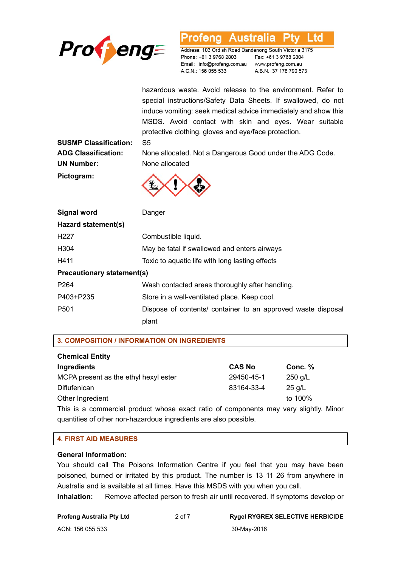

#### Australia L td ofena

Address: 103 Ordish Road Dandenong South Victoria 3175 Phone: +61 3 9768 2803 Email: info@profeng.com.au www.profeng.com.au A.C.N.: 156 055 533

Fax: +61 3 9768 2804 A.B.N.: 37 178 790 573

hazardous waste. Avoid release to the environment. Refer to special instructions/Safety Data Sheets. If swallowed, do not induce vomiting: seek medical advice immediately and show this MSDS. Avoid contact with skin and eyes. Wear suitable protective clothing, gloves and eye/face protection.

**SUSMP Classification:** S5 **UN Number:** None allocated **Pictogram:** 

**ADG Classification:** None allocated. Not a Dangerous Good under the ADG Code.



| Signal word                       | Danger                                                       |  |
|-----------------------------------|--------------------------------------------------------------|--|
| Hazard statement(s)               |                                                              |  |
| H <sub>22</sub> 7                 | Combustible liquid.                                          |  |
| H304                              | May be fatal if swallowed and enters airways                 |  |
| H411                              | Toxic to aquatic life with long lasting effects              |  |
| <b>Precautionary statement(s)</b> |                                                              |  |
| P <sub>264</sub>                  | Wash contacted areas thoroughly after handling.              |  |
| P403+P235                         | Store in a well-ventilated place. Keep cool.                 |  |
| P <sub>501</sub>                  | Dispose of contents/ container to an approved waste disposal |  |
|                                   | plant                                                        |  |

**3. COMPOSITION / INFORMATION ON INGREDIENTS** 

| <b>Chemical Entity</b>                                                                   |               |           |
|------------------------------------------------------------------------------------------|---------------|-----------|
| Ingredients                                                                              | <b>CAS No</b> | Conc. $%$ |
| MCPA present as the ethyl hexyl ester                                                    | 29450-45-1    | $250$ g/L |
| Diflufenican                                                                             | 83164-33-4    | $25$ g/L  |
| Other Ingredient                                                                         |               | to 100%   |
| This is a separate parallel interest of solid and associated and service of the filed of |               |           |

This is a commercial product whose exact ratio of components may vary slightly. Minor quantities of other non-hazardous ingredients are also possible.

### **4. FIRST AID MEASURES**

### **General Information:**

You should call The Poisons Information Centre if you feel that you may have been poisoned, burned or irritated by this product. The number is 13 11 26 from anywhere in Australia and is available at all times. Have this MSDS with you when you call.

**Inhalation:** Remove affected person to fresh air until recovered. If symptoms develop or

|  | <b>Profeng Australia Pty Ltd</b> |  |  |
|--|----------------------------------|--|--|
|--|----------------------------------|--|--|

### **Profeng Australia Pty Ltd** 2 of 7 **Rygel RYGREX SELECTIVE HERBICIDE**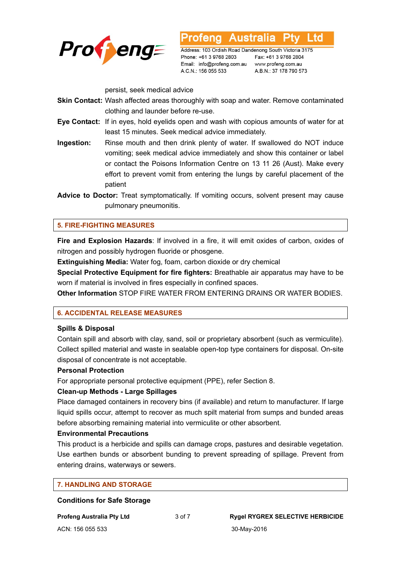

Address: 103 Ordish Road Dandenong South Victoria 3175 Phone: +61 3 9768 2803 Email: info@profeng.com.au www.profeng.com.au A.C.N.: 156 055 533

**Australia** 

Fax: +61 3 9768 2804 A.B.N.: 37 178 790 573

L to

persist, seek medical advice

- **Skin Contact:** Wash affected areas thoroughly with soap and water. Remove contaminated clothing and launder before re-use.
- **Eye Contact:** If in eyes, hold eyelids open and wash with copious amounts of water for at least 15 minutes. Seek medical advice immediately.
- **Ingestion:** Rinse mouth and then drink plenty of water. If swallowed do NOT induce vomiting; seek medical advice immediately and show this container or label or contact the Poisons Information Centre on 13 11 26 (Aust). Make every effort to prevent vomit from entering the lungs by careful placement of the patient
- **Advice to Doctor:** Treat symptomatically. If vomiting occurs, solvent present may cause pulmonary pneumonitis.

# **5. FIRE-FIGHTING MEASURES**

**Fire and Explosion Hazards**: If involved in a fire, it will emit oxides of carbon, oxides of nitrogen and possibly hydrogen fluoride or phosgene.

**Extinguishing Media:** Water fog, foam, carbon dioxide or dry chemical

**Special Protective Equipment for fire fighters:** Breathable air apparatus may have to be worn if material is involved in fires especially in confined spaces.

**Other Information** STOP FIRE WATER FROM ENTERING DRAINS OR WATER BODIES.

### **6. ACCIDENTAL RELEASE MEASURES**

### **Spills & Disposal**

Contain spill and absorb with clay, sand, soil or proprietary absorbent (such as vermiculite). Collect spilled material and waste in sealable open-top type containers for disposal. On-site disposal of concentrate is not acceptable.

### **Personal Protection**

For appropriate personal protective equipment (PPE), refer Section 8.

### **Clean-up Methods - Large Spillages**

Place damaged containers in recovery bins (if available) and return to manufacturer. If large liquid spills occur, attempt to recover as much spilt material from sumps and bunded areas before absorbing remaining material into vermiculite or other absorbent.

### **Environmental Precautions**

This product is a herbicide and spills can damage crops, pastures and desirable vegetation. Use earthen bunds or absorbent bunding to prevent spreading of spillage. Prevent from entering drains, waterways or sewers.

# **7. HANDLING AND STORAGE**

**Conditions for Safe Storage**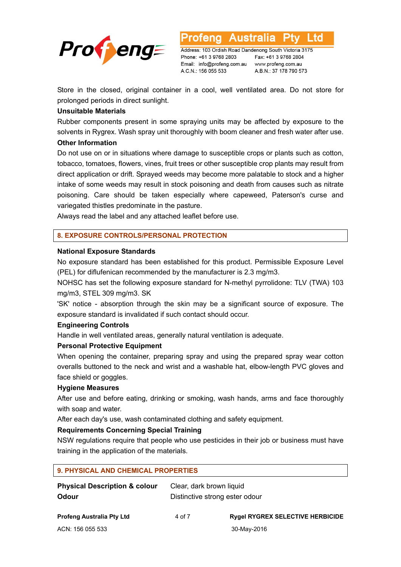

Address: 103 Ordish Road Dandenong South Victoria 3175 Phone: +61 3 9768 2803 Email: info@profeng.com.au A.C.N.: 156 055 533

Fax: +61 3 9768 2804 www.profeng.com.au A.B.N.: 37 178 790 573

L td

Store in the closed, original container in a cool, well ventilated area. Do not store for prolonged periods in direct sunlight.

# **Unsuitable Materials**

Rubber components present in some spraying units may be affected by exposure to the solvents in Rygrex. Wash spray unit thoroughly with boom cleaner and fresh water after use.

### **Other Information**

Do not use on or in situations where damage to susceptible crops or plants such as cotton, tobacco, tomatoes, flowers, vines, fruit trees or other susceptible crop plants may result from direct application or drift. Sprayed weeds may become more palatable to stock and a higher intake of some weeds may result in stock poisoning and death from causes such as nitrate poisoning. Care should be taken especially where capeweed, Paterson's curse and variegated thistles predominate in the pasture.

Always read the label and any attached leaflet before use.

# **8. EXPOSURE CONTROLS/PERSONAL PROTECTION**

### **National Exposure Standards**

No exposure standard has been established for this product. Permissible Exposure Level (PEL) for diflufenican recommended by the manufacturer is 2.3 mg/m3.

NOHSC has set the following exposure standard for N-methyl pyrrolidone: TLV (TWA) 103 mg/m3, STEL 309 mg/m3. SK

'SK' notice - absorption through the skin may be a significant source of exposure. The exposure standard is invalidated if such contact should occur.

### **Engineering Controls**

Handle in well ventilated areas, generally natural ventilation is adequate.

# **Personal Protective Equipment**

When opening the container, preparing spray and using the prepared spray wear cotton overalls buttoned to the neck and wrist and a washable hat, elbow-length PVC gloves and face shield or goggles.

### **Hygiene Measures**

After use and before eating, drinking or smoking, wash hands, arms and face thoroughly with soap and water.

After each day's use, wash contaminated clothing and safety equipment.

# **Requirements Concerning Special Training**

NSW regulations require that people who use pesticides in their job or business must have training in the application of the materials.

| <b>9. PHYSICAL AND CHEMICAL PROPERTIES</b>        |                                                            |                                         |  |  |  |
|---------------------------------------------------|------------------------------------------------------------|-----------------------------------------|--|--|--|
| <b>Physical Description &amp; colour</b><br>Odour | Clear, dark brown liquid<br>Distinctive strong ester odour |                                         |  |  |  |
| <b>Profeng Australia Pty Ltd</b>                  | 4 of 7                                                     | <b>Rygel RYGREX SELECTIVE HERBICIDE</b> |  |  |  |
| ACN: 156 055 533                                  |                                                            | 30-May-2016                             |  |  |  |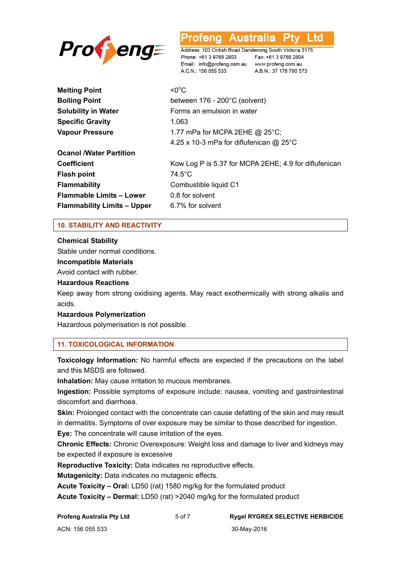

#### Australia L td

Address: 103 Ordish Road Dandenong South Victoria 3175 Phone: +61 3 9768 2803 Fax: +61 3 9768 2804 Email: info@profeng.com.au www.profeng.com.au A.C.N.: 156 055 533 A.B.N.: 37 178 790 573

**Melting Point**  $<$   $0^{\circ}$ C. **Boiling Point** between 176 - 200°C (solvent) **Solubility in Water Forms** an emulsion in water **Specific Gravity** 1.063 **Vapour Pressure** 1.77 mPa for MCPA 2EHE @ 25°C; 4.25 x 10-3 mPa for diflufenican @ 25°C **Ocanol /Water Partition Coefficient** Kow Log P is 5.37 for MCPA 2EHE; 4.9 for diflufenican **Flash point** 74.5°C **Flammability** Combustible liquid C1 **Flammable Limits – Lower** 0.8 for solvent **Flammability Limits – Upper** 6.7% for solvent

# **10. STABILITY AND REACTIVITY**

**Chemical Stability** 

Stable under normal conditions.

### **Incompatible Materials**

Avoid contact with rubber.

### **Hazardous Reactions**

Keep away from strong oxidising agents. May react exothermically with strong alkalis and acids.

### **Hazardous Polymerization**

Hazardous polymerisation is not possible.

# **11. TOXICOLOGICAL INFORMATION**

**Toxicology Information:** No harmful effects are expected if the precautions on the label and this MSDS are followed.

**Inhalation:** May cause irritation to mucous membranes.

**Ingestion:** Possible symptoms of exposure include: nausea, vomiting and gastrointestinal discomfort and diarrhoea.

**Skin:** Prolonged contact with the concentrate can cause defatting of the skin and may result in dermatitis. Symptoms of over exposure may be similar to those described for ingestion.

**Eye:** The concentrate will cause irritation of the eyes.

**Chronic Effects:** Chronic Overexposure: Weight loss and damage to liver and kidneys may be expected if exposure is excessive

**Reproductive Toxicity:** Data indicates no reproductive effects.

**Mutagenicity:** Data indicates no mutagenic effects.

**Acute Toxicity – Oral:** LD50 (rat) 1580 mg/kg for the formulated product

**Acute Toxicity – Dermal:** LD50 (rat) >2040 mg/kg for the formulated product

**Profeng Australia Pty Ltd** 5 of 7 **Rygel RYGREX SELECTIVE HERBICIDE**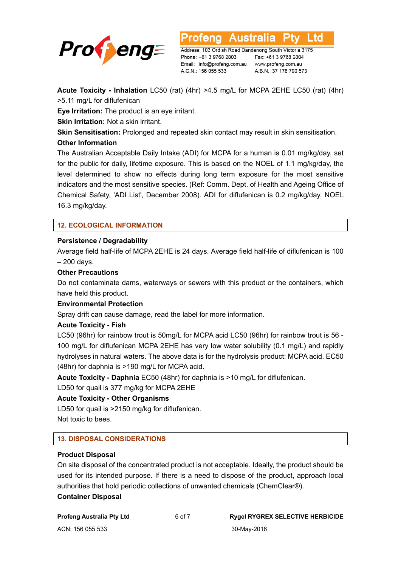

Address: 103 Ordish Road Dandenong South Victoria 3175 Phone: +61 3 9768 2803 Email: info@profeng.com.au www.profeng.com.au A.C.N.: 156 055 533

Australia

Fax: +61 3 9768 2804 A.B.N.: 37 178 790 573

L td

**Acute Toxicity - Inhalation** LC50 (rat) (4hr) >4.5 mg/L for MCPA 2EHE LC50 (rat) (4hr) >5.11 mg/L for diflufenican

otena

**Eye Irritation:** The product is an eye irritant.

**Skin Irritation:** Not a skin irritant.

**Skin Sensitisation:** Prolonged and repeated skin contact may result in skin sensitisation.

# **Other Information**

The Australian Acceptable Daily Intake (ADI) for MCPA for a human is 0.01 mg/kg/day, set for the public for daily, lifetime exposure. This is based on the NOEL of 1.1 mg/kg/day, the level determined to show no effects during long term exposure for the most sensitive indicators and the most sensitive species. (Ref: Comm. Dept. of Health and Ageing Office of Chemical Safety, 'ADI List', December 2008). ADI for diflufenican is 0.2 mg/kg/day, NOEL 16.3 mg/kg/day.

# **12. ECOLOGICAL INFORMATION**

# **Persistence / Degradability**

Average field half-life of MCPA 2EHE is 24 days. Average field half-life of diflufenican is 100 – 200 days.

# **Other Precautions**

Do not contaminate dams, waterways or sewers with this product or the containers, which have held this product.

# **Environmental Protection**

Spray drift can cause damage, read the label for more information.

# **Acute Toxicity - Fish**

LC50 (96hr) for rainbow trout is 50mg/L for MCPA acid LC50 (96hr) for rainbow trout is 56 - 100 mg/L for diflufenican MCPA 2EHE has very low water solubility (0.1 mg/L) and rapidly hydrolyses in natural waters. The above data is for the hydrolysis product: MCPA acid. EC50 (48hr) for daphnia is >190 mg/L for MCPA acid.

**Acute Toxicity - Daphnia** EC50 (48hr) for daphnia is >10 mg/L for diflufenican.

LD50 for quail is 377 mg/kg for MCPA 2EHE

# **Acute Toxicity - Other Organisms**

LD50 for quail is >2150 mg/kg for diflufenican. Not toxic to bees.

# **13. DISPOSAL CONSIDERATIONS**

# **Product Disposal**

On site disposal of the concentrated product is not acceptable. Ideally, the product should be used for its intended purpose. If there is a need to dispose of the product, approach local authorities that hold periodic collections of unwanted chemicals (ChemClear®).

# **Container Disposal**